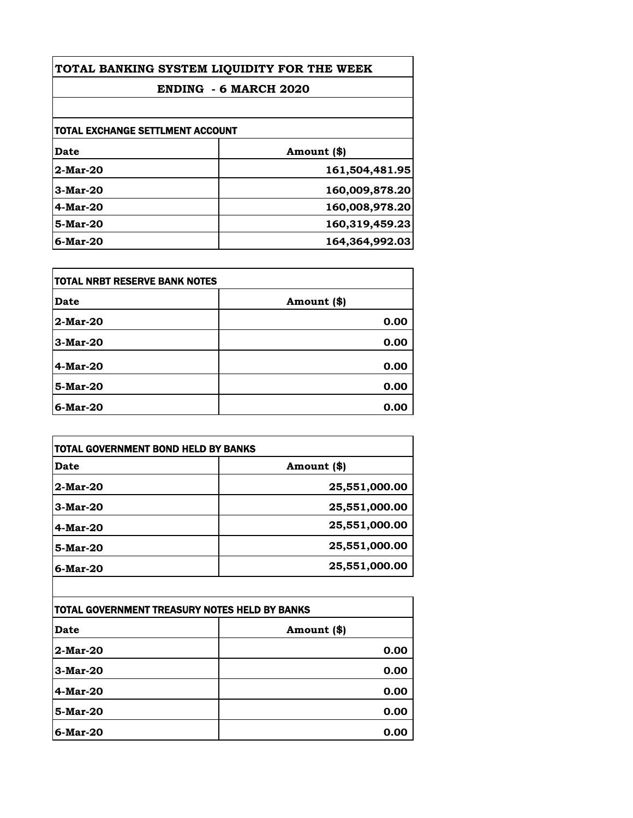| TOTAL BANKING SYSTEM LIQUIDITY FOR THE WEEK |                |
|---------------------------------------------|----------------|
| <b>ENDING - 6 MARCH 2020</b>                |                |
|                                             |                |
| <b>TOTAL EXCHANGE SETTLMENT ACCOUNT</b>     |                |
| Date                                        | Amount (\$)    |
| $2$ -Mar-20                                 | 161,504,481.95 |
| $3$ -Mar-20                                 | 160,009,878.20 |
| $4$ -Mar-20                                 | 160,008,978.20 |
| 5-Mar-20                                    | 160,319,459.23 |
| $6$ -Mar-20                                 | 164,364,992.03 |

| <b>TOTAL NRBT RESERVE BANK NOTES</b> |             |
|--------------------------------------|-------------|
| Date                                 | Amount (\$) |
| 2-Mar-20                             | 0.00        |
| 3-Mar-20                             | 0.00        |
| 4-Mar-20                             | 0.00        |
| 5-Mar-20                             | 0.00        |
| $6$ -Mar-20                          | 0.00        |

| TOTAL GOVERNMENT BOND HELD BY BANKS |               |
|-------------------------------------|---------------|
| Date                                | Amount (\$)   |
| $2$ -Mar-20                         | 25,551,000.00 |
| $3-Mar-20$                          | 25,551,000.00 |
| $4$ -Mar-20                         | 25,551,000.00 |
| 5-Mar-20                            | 25,551,000.00 |
| $6$ -Mar-20                         | 25,551,000.00 |

| TOTAL GOVERNMENT TREASURY NOTES HELD BY BANKS |             |
|-----------------------------------------------|-------------|
| Date                                          | Amount (\$) |
| 2-Mar-20                                      | 0.00        |
| 3-Mar-20                                      | 0.00        |
| 4-Mar-20                                      | 0.00        |
| 5-Mar-20                                      | 0.00        |
| $6$ -Mar-20                                   | 0.00        |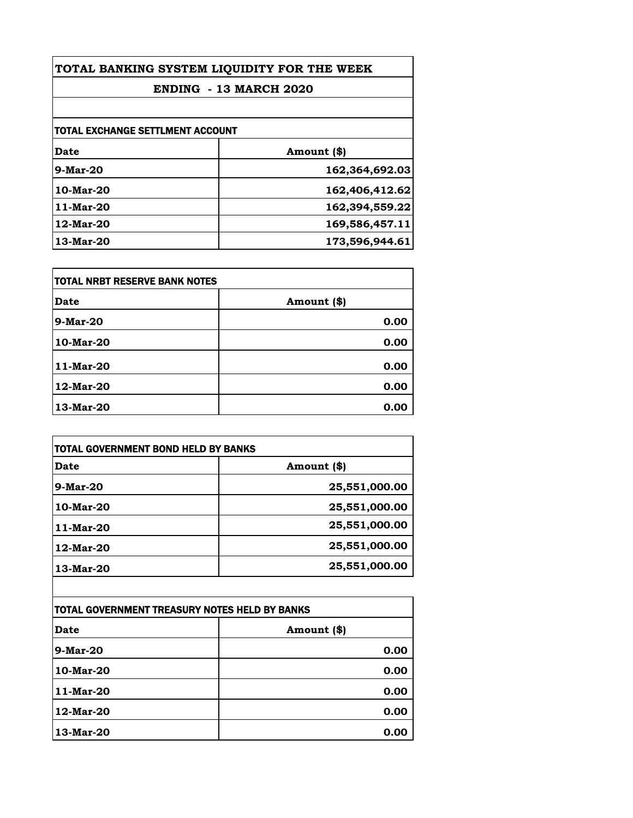| TOTAL BANKING SYSTEM LIQUIDITY FOR THE WEEK |                |  |
|---------------------------------------------|----------------|--|
| <b>ENDING - 13 MARCH 2020</b>               |                |  |
|                                             |                |  |
| <b>TOTAL EXCHANGE SETTLMENT ACCOUNT</b>     |                |  |
| Date                                        | Amount (\$)    |  |
| $9$ -Mar-20                                 | 162,364,692.03 |  |
| 10-Mar-20                                   | 162,406,412.62 |  |
| 11-Mar-20                                   | 162,394,559.22 |  |
| 12-Mar-20                                   | 169,586,457.11 |  |
| 13-Mar-20                                   | 173,596,944.61 |  |

| TOTAL NRBT RESERVE BANK NOTES |             |
|-------------------------------|-------------|
| <b>Date</b>                   | Amount (\$) |
| 9-Mar-20                      | 0.00        |
| 10-Mar-20                     | 0.00        |
| 11-Mar-20                     | 0.00        |
| 12-Mar-20                     | 0.00        |
| 13-Mar-20                     | 0.00        |

| TOTAL GOVERNMENT BOND HELD BY BANKS |               |
|-------------------------------------|---------------|
| Date                                | Amount (\$)   |
| $9$ -Mar-20                         | 25,551,000.00 |
| 10-Mar-20                           | 25,551,000.00 |
| 11-Mar-20                           | 25,551,000.00 |
| 12-Mar-20                           | 25,551,000.00 |
| 13-Mar-20                           | 25,551,000.00 |

| TOTAL GOVERNMENT TREASURY NOTES HELD BY BANKS |             |
|-----------------------------------------------|-------------|
| Date                                          | Amount (\$) |
| 9-Mar-20                                      | 0.00        |
| 10-Mar-20                                     | 0.00        |
| 11-Mar-20                                     | 0.00        |
| 12-Mar-20                                     | 0.00        |
| 13-Mar-20                                     | 0.00        |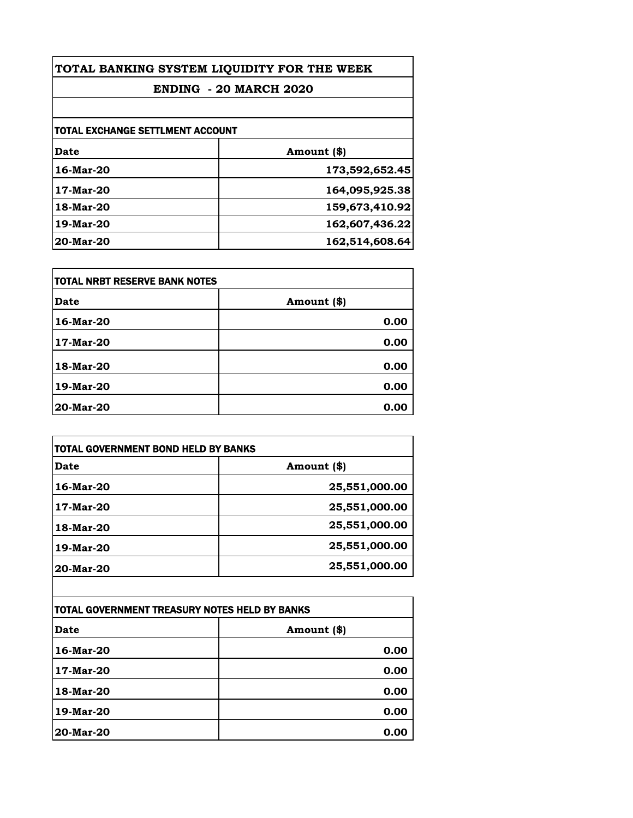| TOTAL BANKING SYSTEM LIQUIDITY FOR THE WEEK |                |
|---------------------------------------------|----------------|
| <b>ENDING - 20 MARCH 2020</b>               |                |
|                                             |                |
| TOTAL EXCHANGE SETTLMENT ACCOUNT            |                |
| Date                                        | Amount (\$)    |
| 16-Mar-20                                   | 173,592,652.45 |
| 17-Mar-20                                   | 164,095,925.38 |
| 18-Mar-20                                   | 159,673,410.92 |
| 19-Mar-20                                   | 162,607,436.22 |
| 20-Mar-20                                   | 162,514,608.64 |

| <b>TOTAL NRBT RESERVE BANK NOTES</b> |             |
|--------------------------------------|-------------|
| Date                                 | Amount (\$) |
| 16-Mar-20                            | 0.00        |
| 17-Mar-20                            | 0.00        |
| 18-Mar-20                            | 0.00        |
| 19-Mar-20                            | 0.00        |
| 20-Mar-20                            | 0.00        |

| TOTAL GOVERNMENT BOND HELD BY BANKS |               |
|-------------------------------------|---------------|
| Date                                | Amount (\$)   |
| 16-Mar-20                           | 25,551,000.00 |
| 17-Mar-20                           | 25,551,000.00 |
| 18-Mar-20                           | 25,551,000.00 |
| 19-Mar-20                           | 25,551,000.00 |
| 20-Mar-20                           | 25,551,000.00 |

| TOTAL GOVERNMENT TREASURY NOTES HELD BY BANKS |             |
|-----------------------------------------------|-------------|
| Date                                          | Amount (\$) |
| 16-Mar-20                                     | 0.00        |
| 17-Mar-20                                     | 0.00        |
| 18-Mar-20                                     | 0.00        |
| 19-Mar-20                                     | 0.00        |
| 20-Mar-20                                     | 0.00        |